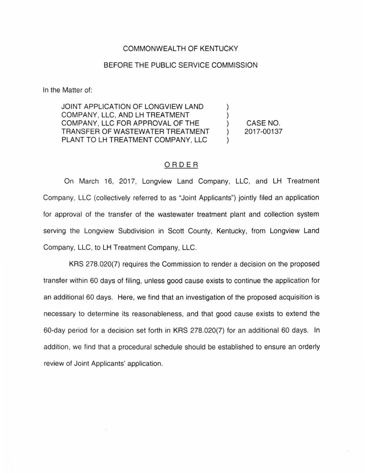## COMMONWEALTH OF KENTUCKY

## BEFORE THE PUBLIC SERVICE COMMISSION

In the Matter of:

JOINT APPLICATION OF LONGVIEW LAND COMPANY, LLC, AND LH TREATMENT COMPANY, LLC FOR APPROVAL OF THE TRANSFER OF WASTEWATER TREATMENT PLANT TO LH TREATMENT COMPANY, LLC

CASE NO. 2017-00137

) ) ) ) )

## ORDER

On March 16, 2017, Longview Land Company, LLC, and LH Treatment Company, LLC (collectively referred to as "Joint Applicants") jointly filed an application for approval of the transfer of the wastewater treatment plant and collection system serving the Longview Subdivision in Scott County, Kentucky, from Longview Land Company, LLC, to LH Treatment Company, LLC.

KRS 278.020(7) requires the Commission to render a decision on the proposed transfer within 60 days of filing, unless good cause exists to continue the application for an additional 60 days. Here, we find that an investigation of the proposed acquisition is necessary to determine its reasonableness, and that good cause exists to extend the 60-day period for a decision set forth in KRS 278.020(7) for an additional 60 days. In addition, we find that a procedural schedule should be established to ensure an orderly review of Joint Applicants' application.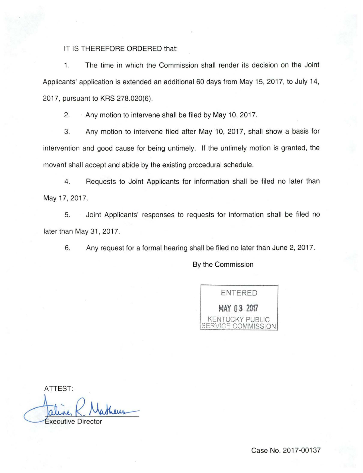## IT IS THEREFORE ORDERED that:

1. The time in which the Commission shall render its decision on the Joint Applicants' application is extended an additional 60 days from May 15, 2017, to July 14, 2017, pursuant to KRS 278.020(6).

2. Any motion to intervene shall be filed by May 10, 2017.

3. Any motion to intervene filed after May 10, 2017, shall show a basis for intervention and good cause for being untimely. If the untimely motion is granted, the movant shall accept and abide by the existing procedural schedule.

4. Requests to Joint Applicants for information shall be filed no later than May 17, 2017.

5. Joint Applicants' responses to requests for information shall be filed no later than May 31, 2017.

6. Any request for a formal hearing shall be filed no later than June 2, 2017.

By the Commission

ENTERED **MAY 0 3 2017**  KENTUCKY PUBLIC SERV!CE COMMISSION

ATTEST:

**Executive Director**